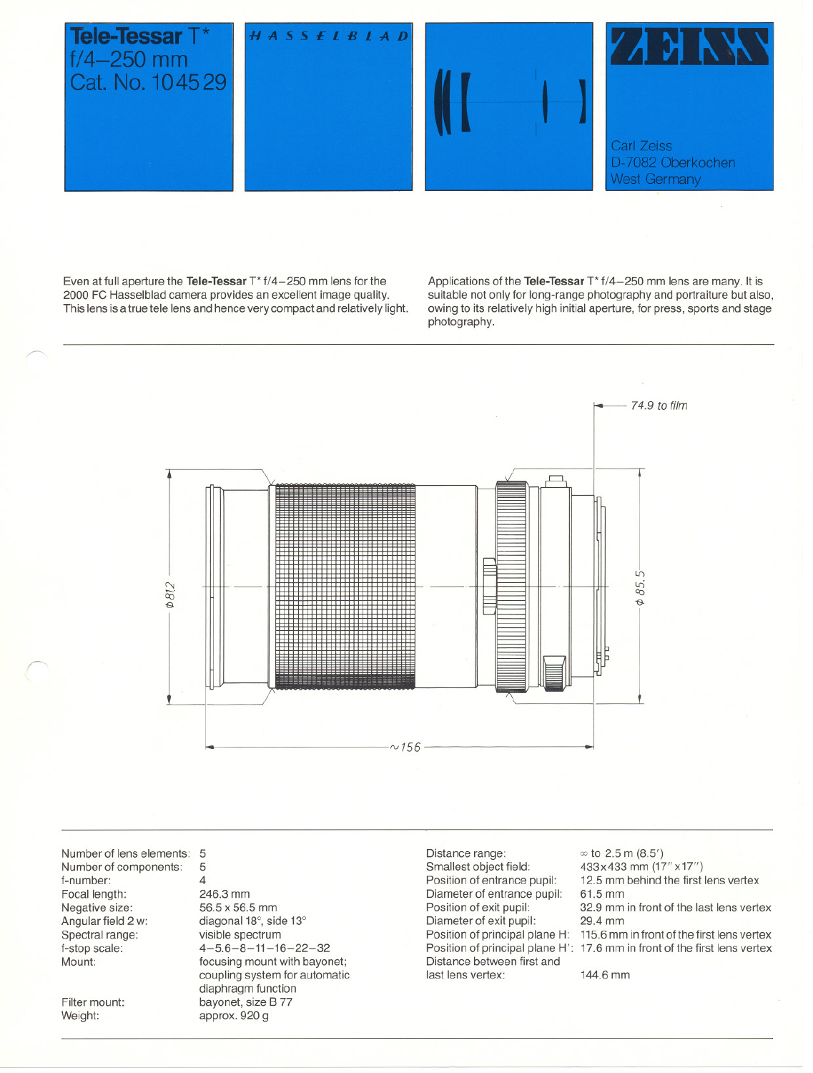

Even at full aperture the **Tele-Tessar** T<sup>\*</sup> f/4-250 mm lens for the 2000 FC Hasselblad eamera provides an exeellent image quality, This lens is a true tele lens and hence very compact and relatively light. Applieations of the **Tele-Tessar** T\* f/4-250 mm lens are many, It is suitable not only for long-range photography and portraiture but also, owing to its relatively high initial aperture, for press, sports and stage photography,



Number of lens elements: 5 Number of eomponents: f-number: Focal length: Negative size: Angular field 2 w: Spectral range: f-stop seale: Mount:

Filter mount: Weight:

~

~

5 4 246,3 mm 56,5 x 56,5 mm diagonal 18°, side 13° visible spectrum  $4-5.6-8-11-16-22-32$ foeusing mount with bayonet; coupling system for automatic diaphragm funetion bayonet, size B 77 approx, 920 g

Distance range: Smallest object field: Position of entrance pupil: Diameter of entranee pupil: Position of exit pupil: Diameter of exit pupil: Distanee between first and last lens vertex:

Position of prineipal plane H: 115,6mm in frontofthe first lens vertex Position of prineipal plane H': 17,6 mm in front of the first lens vertex  $\infty$  to 2.5 m (8.5') 433x433 mm (17"x17") 12,5 mm behind the first lens vertex 61,5 mm 32,9 mm in front of the last lens vertex 29.4 mm

144,6 mm